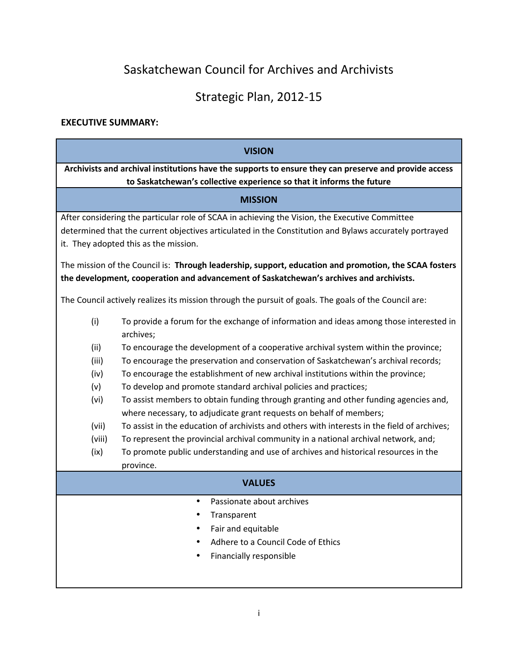# Saskatchewan Council for Archives and Archivists

## Strategic Plan, 2012-15

## **EXECUTIVE SUMMARY:**

| <b>VISION</b>                                                                                         |                                                                                                                                                             |  |  |  |  |  |
|-------------------------------------------------------------------------------------------------------|-------------------------------------------------------------------------------------------------------------------------------------------------------------|--|--|--|--|--|
| Archivists and archival institutions have the supports to ensure they can preserve and provide access |                                                                                                                                                             |  |  |  |  |  |
| to Saskatchewan's collective experience so that it informs the future                                 |                                                                                                                                                             |  |  |  |  |  |
| <b>MISSION</b>                                                                                        |                                                                                                                                                             |  |  |  |  |  |
| After considering the particular role of SCAA in achieving the Vision, the Executive Committee        |                                                                                                                                                             |  |  |  |  |  |
|                                                                                                       | determined that the current objectives articulated in the Constitution and Bylaws accurately portrayed                                                      |  |  |  |  |  |
|                                                                                                       | it. They adopted this as the mission.                                                                                                                       |  |  |  |  |  |
|                                                                                                       | The mission of the Council is: Through leadership, support, education and promotion, the SCAA fosters                                                       |  |  |  |  |  |
|                                                                                                       | the development, cooperation and advancement of Saskatchewan's archives and archivists.                                                                     |  |  |  |  |  |
| The Council actively realizes its mission through the pursuit of goals. The goals of the Council are: |                                                                                                                                                             |  |  |  |  |  |
| (i)                                                                                                   | To provide a forum for the exchange of information and ideas among those interested in<br>archives;                                                         |  |  |  |  |  |
| (ii)                                                                                                  | To encourage the development of a cooperative archival system within the province;                                                                          |  |  |  |  |  |
| (iii)                                                                                                 | To encourage the preservation and conservation of Saskatchewan's archival records;                                                                          |  |  |  |  |  |
| (iv)                                                                                                  | To encourage the establishment of new archival institutions within the province;                                                                            |  |  |  |  |  |
| (v)                                                                                                   | To develop and promote standard archival policies and practices;                                                                                            |  |  |  |  |  |
| (vi)                                                                                                  | To assist members to obtain funding through granting and other funding agencies and,<br>where necessary, to adjudicate grant requests on behalf of members; |  |  |  |  |  |
| (vii)                                                                                                 | To assist in the education of archivists and others with interests in the field of archives;                                                                |  |  |  |  |  |
| (viii)                                                                                                | To represent the provincial archival community in a national archival network, and;                                                                         |  |  |  |  |  |
| (ix)                                                                                                  | To promote public understanding and use of archives and historical resources in the                                                                         |  |  |  |  |  |
|                                                                                                       | province.                                                                                                                                                   |  |  |  |  |  |
| <b>VALUES</b>                                                                                         |                                                                                                                                                             |  |  |  |  |  |
|                                                                                                       | Passionate about archives                                                                                                                                   |  |  |  |  |  |
|                                                                                                       | Transparent                                                                                                                                                 |  |  |  |  |  |
|                                                                                                       | Fair and equitable                                                                                                                                          |  |  |  |  |  |
|                                                                                                       | Adhere to a Council Code of Ethics                                                                                                                          |  |  |  |  |  |
|                                                                                                       | Financially responsible                                                                                                                                     |  |  |  |  |  |
|                                                                                                       |                                                                                                                                                             |  |  |  |  |  |
|                                                                                                       |                                                                                                                                                             |  |  |  |  |  |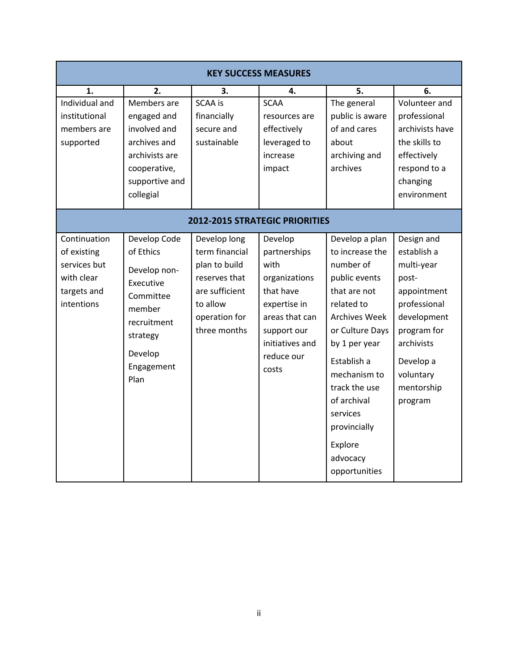| <b>KEY SUCCESS MEASURES</b>                                                            |                                                                                                                                           |                                                                                                                                 |                                                                                                                                                          |                                                                                                                                                                                                                                                                                              |                                                                                                                                                                                |  |  |  |
|----------------------------------------------------------------------------------------|-------------------------------------------------------------------------------------------------------------------------------------------|---------------------------------------------------------------------------------------------------------------------------------|----------------------------------------------------------------------------------------------------------------------------------------------------------|----------------------------------------------------------------------------------------------------------------------------------------------------------------------------------------------------------------------------------------------------------------------------------------------|--------------------------------------------------------------------------------------------------------------------------------------------------------------------------------|--|--|--|
| 1.<br>Individual and<br>institutional<br>members are<br>supported                      | 2.<br>Members are<br>engaged and<br>involved and<br>archives and<br>archivists are<br>cooperative,<br>supportive and<br>collegial         | 3.<br><b>SCAA is</b><br>financially<br>secure and<br>sustainable                                                                | 4.<br><b>SCAA</b><br>resources are<br>effectively<br>leveraged to<br>increase<br>impact                                                                  | 5.<br>The general<br>public is aware<br>of and cares<br>about<br>archiving and<br>archives                                                                                                                                                                                                   | 6.<br>Volunteer and<br>professional<br>archivists have<br>the skills to<br>effectively<br>respond to a<br>changing<br>environment                                              |  |  |  |
| 2012-2015 STRATEGIC PRIORITIES                                                         |                                                                                                                                           |                                                                                                                                 |                                                                                                                                                          |                                                                                                                                                                                                                                                                                              |                                                                                                                                                                                |  |  |  |
| Continuation<br>of existing<br>services but<br>with clear<br>targets and<br>intentions | Develop Code<br>of Ethics<br>Develop non-<br>Executive<br>Committee<br>member<br>recruitment<br>strategy<br>Develop<br>Engagement<br>Plan | Develop long<br>term financial<br>plan to build<br>reserves that<br>are sufficient<br>to allow<br>operation for<br>three months | Develop<br>partnerships<br>with<br>organizations<br>that have<br>expertise in<br>areas that can<br>support our<br>initiatives and<br>reduce our<br>costs | Develop a plan<br>to increase the<br>number of<br>public events<br>that are not<br>related to<br><b>Archives Week</b><br>or Culture Days<br>by 1 per year<br>Establish a<br>mechanism to<br>track the use<br>of archival<br>services<br>provincially<br>Explore<br>advocacy<br>opportunities | Design and<br>establish a<br>multi-year<br>post-<br>appointment<br>professional<br>development<br>program for<br>archivists<br>Develop a<br>voluntary<br>mentorship<br>program |  |  |  |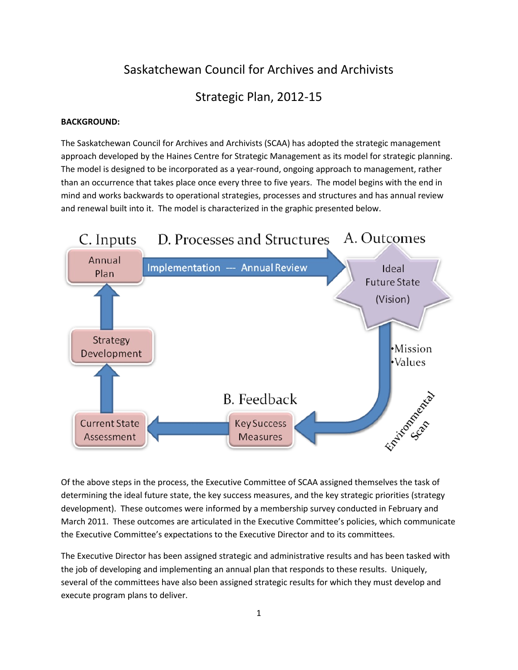## Saskatchewan Council for Archives and Archivists

Strategic Plan, 2012-15

#### **BACKGROUND:**

The Saskatchewan Council for Archives and Archivists (SCAA) has adopted the strategic management approach developed by the Haines Centre for Strategic Management as its model for strategic planning. The model is designed to be incorporated as a year-round, ongoing approach to management, rather than an occurrence that takes place once every three to five years. The model begins with the end in mind and works backwards to operational strategies, processes and structures and has annual review and renewal built into it. The model is characterized in the graphic presented below.



Of the above steps in the process, the Executive Committee of SCAA assigned themselves the task of determining the ideal future state, the key success measures, and the key strategic priorities (strategy development). These outcomes were informed by a membership survey conducted in February and March 2011. These outcomes are articulated in the Executive Committee's policies, which communicate the Executive Committee's expectations to the Executive Director and to its committees.

The Executive Director has been assigned strategic and administrative results and has been tasked with the job of developing and implementing an annual plan that responds to these results. Uniquely, several of the committees have also been assigned strategic results for which they must develop and execute program plans to deliver.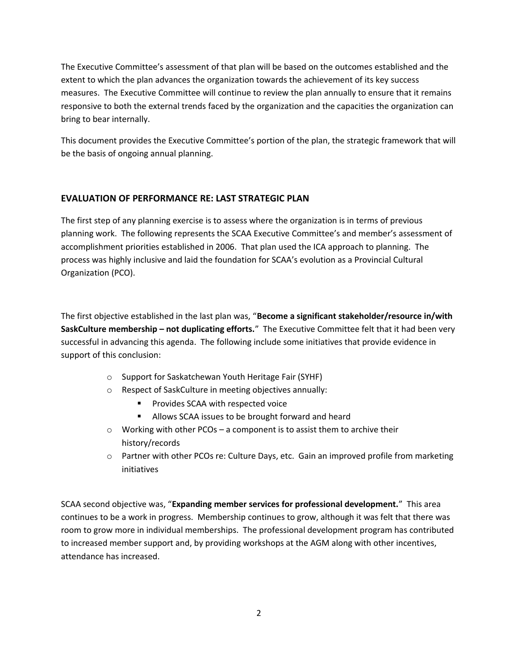The Executive Committee's assessment of that plan will be based on the outcomes established and the extent to which the plan advances the organization towards the achievement of its key success measures. The Executive Committee will continue to review the plan annually to ensure that it remains responsive to both the external trends faced by the organization and the capacities the organization can bring to bear internally.

This document provides the Executive Committee's portion of the plan, the strategic framework that will be the basis of ongoing annual planning.

## **EVALUATION OF PERFORMANCE RE: LAST STRATEGIC PLAN**

The first step of any planning exercise is to assess where the organization is in terms of previous planning work. The following represents the SCAA Executive Committee's and member's assessment of accomplishment priorities established in 2006. That plan used the ICA approach to planning. The process was highly inclusive and laid the foundation for SCAA's evolution as a Provincial Cultural Organization (PCO).

The first objective established in the last plan was, "**Become a significant stakeholder/resource in/with SaskCulture membership – not duplicating efforts.**" The Executive Committee felt that it had been very successful in advancing this agenda. The following include some initiatives that provide evidence in support of this conclusion:

- o Support for Saskatchewan Youth Heritage Fair (SYHF)
- o Respect of SaskCulture in meeting objectives annually:
	- Provides SCAA with respected voice
	- **Allows SCAA issues to be brought forward and heard**
- o Working with other PCOs a component is to assist them to archive their history/records
- o Partner with other PCOs re: Culture Days, etc. Gain an improved profile from marketing initiatives

SCAA second objective was, "**Expanding member services for professional development.**" This area continues to be a work in progress. Membership continues to grow, although it was felt that there was room to grow more in individual memberships. The professional development program has contributed to increased member support and, by providing workshops at the AGM along with other incentives, attendance has increased.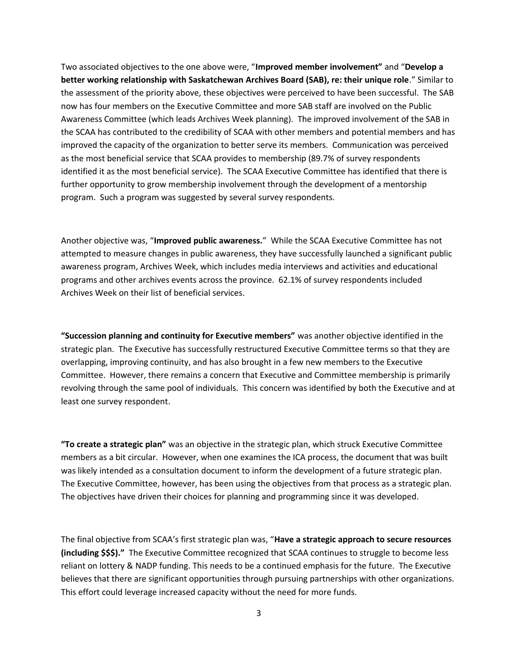Two associated objectives to the one above were, "**Improved member involvement"** and "**Develop a better working relationship with Saskatchewan Archives Board (SAB), re: their unique role**." Similar to the assessment of the priority above, these objectives were perceived to have been successful. The SAB now has four members on the Executive Committee and more SAB staff are involved on the Public Awareness Committee (which leads Archives Week planning). The improved involvement of the SAB in the SCAA has contributed to the credibility of SCAA with other members and potential members and has improved the capacity of the organization to better serve its members. Communication was perceived as the most beneficial service that SCAA provides to membership (89.7% of survey respondents identified it as the most beneficial service). The SCAA Executive Committee has identified that there is further opportunity to grow membership involvement through the development of a mentorship program. Such a program was suggested by several survey respondents.

Another objective was, "**Improved public awareness.**" While the SCAA Executive Committee has not attempted to measure changes in public awareness, they have successfully launched a significant public awareness program, Archives Week, which includes media interviews and activities and educational programs and other archives events across the province. 62.1% of survey respondents included Archives Week on their list of beneficial services.

**"Succession planning and continuity for Executive members"** was another objective identified in the strategic plan. The Executive has successfully restructured Executive Committee terms so that they are overlapping, improving continuity, and has also brought in a few new members to the Executive Committee. However, there remains a concern that Executive and Committee membership is primarily revolving through the same pool of individuals. This concern was identified by both the Executive and at least one survey respondent.

**"To create a strategic plan"** was an objective in the strategic plan, which struck Executive Committee members as a bit circular. However, when one examines the ICA process, the document that was built was likely intended as a consultation document to inform the development of a future strategic plan. The Executive Committee, however, has been using the objectives from that process as a strategic plan. The objectives have driven their choices for planning and programming since it was developed.

The final objective from SCAA's first strategic plan was, "**Have a strategic approach to secure resources (including \$\$\$)."** The Executive Committee recognized that SCAA continues to struggle to become less reliant on lottery & NADP funding. This needs to be a continued emphasis for the future. The Executive believes that there are significant opportunities through pursuing partnerships with other organizations. This effort could leverage increased capacity without the need for more funds.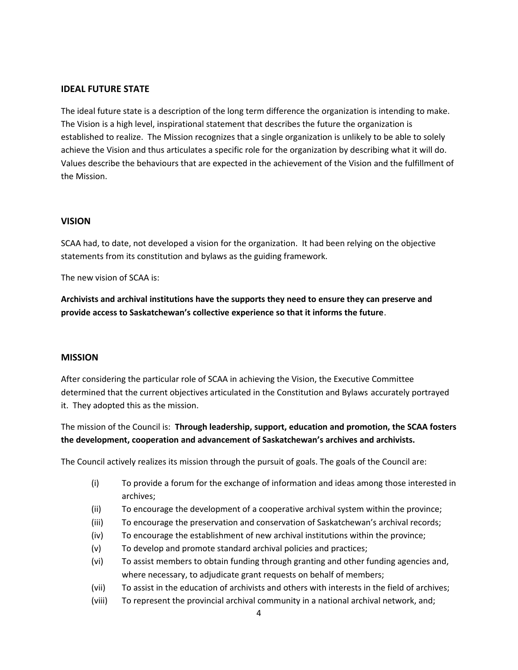#### **IDEAL FUTURE STATE**

The ideal future state is a description of the long term difference the organization is intending to make. The Vision is a high level, inspirational statement that describes the future the organization is established to realize. The Mission recognizes that a single organization is unlikely to be able to solely achieve the Vision and thus articulates a specific role for the organization by describing what it will do. Values describe the behaviours that are expected in the achievement of the Vision and the fulfillment of the Mission.

#### **VISION**

SCAA had, to date, not developed a vision for the organization. It had been relying on the objective statements from its constitution and bylaws as the guiding framework.

The new vision of SCAA is:

**Archivists and archival institutions have the supports they need to ensure they can preserve and provide access to Saskatchewan's collective experience so that it informs the future**.

#### **MISSION**

After considering the particular role of SCAA in achieving the Vision, the Executive Committee determined that the current objectives articulated in the Constitution and Bylaws accurately portrayed it. They adopted this as the mission.

The mission of the Council is: **Through leadership, support, education and promotion, the SCAA fosters the development, cooperation and advancement of Saskatchewan's archives and archivists.**

The Council actively realizes its mission through the pursuit of goals. The goals of the Council are:

- (i) To provide a forum for the exchange of information and ideas among those interested in archives;
- (ii) To encourage the development of a cooperative archival system within the province;
- (iii) To encourage the preservation and conservation of Saskatchewan's archival records;
- (iv) To encourage the establishment of new archival institutions within the province;
- (v) To develop and promote standard archival policies and practices;
- (vi) To assist members to obtain funding through granting and other funding agencies and, where necessary, to adjudicate grant requests on behalf of members;
- (vii) To assist in the education of archivists and others with interests in the field of archives;
- (viii) To represent the provincial archival community in a national archival network, and;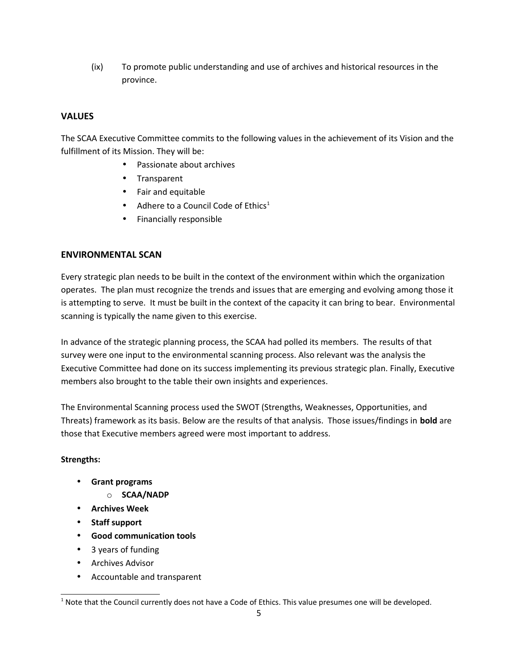(ix) To promote public understanding and use of archives and historical resources in the province.

## **VALUES**

The SCAA Executive Committee commits to the following values in the achievement of its Vision and the fulfillment of its Mission. They will be:

- Passionate about archives
- Transparent
- Fair and equitable
- Adhere to a Council Code of Ethics<sup>[1](#page-6-0)</sup>
- Financially responsible

#### **ENVIRONMENTAL SCAN**

Every strategic plan needs to be built in the context of the environment within which the organization operates. The plan must recognize the trends and issues that are emerging and evolving among those it is attempting to serve. It must be built in the context of the capacity it can bring to bear. Environmental scanning is typically the name given to this exercise.

In advance of the strategic planning process, the SCAA had polled its members. The results of that survey were one input to the environmental scanning process. Also relevant was the analysis the Executive Committee had done on its success implementing its previous strategic plan. Finally, Executive members also brought to the table their own insights and experiences.

The Environmental Scanning process used the SWOT (Strengths, Weaknesses, Opportunities, and Threats) framework as its basis. Below are the results of that analysis. Those issues/findings in **bold** are those that Executive members agreed were most important to address.

#### **Strengths:**

- **Grant programs**
	- o **SCAA/NADP**
- **Archives Week**
- **Staff support**
- **Good communication tools**
- 3 years of funding
- Archives Advisor
- Accountable and transparent

<span id="page-6-0"></span><sup>&</sup>lt;sup>1</sup> Note that the Council currently does not have a Code of Ethics. This value presumes one will be developed.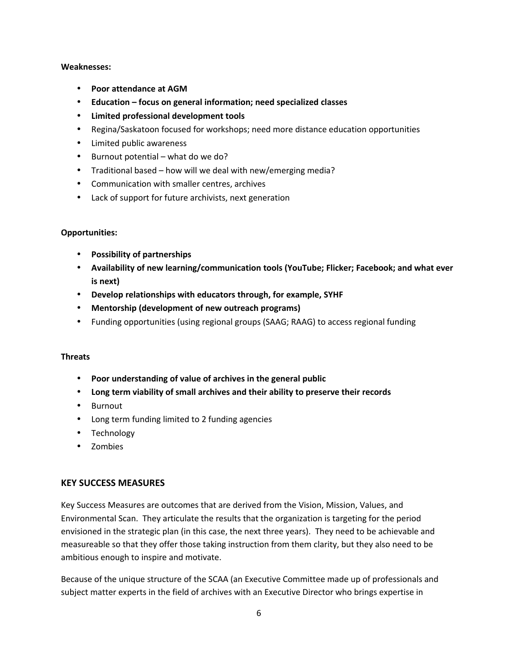#### **Weaknesses:**

- **Poor attendance at AGM**
- **Education focus on general information; need specialized classes**
- **Limited professional development tools**
- Regina/Saskatoon focused for workshops; need more distance education opportunities
- Limited public awareness
- Burnout potential what do we do?
- Traditional based how will we deal with new/emerging media?
- Communication with smaller centres, archives
- Lack of support for future archivists, next generation

#### **Opportunities:**

- **Possibility of partnerships**
- **Availability of new learning/communication tools (YouTube; Flicker; Facebook; and what ever is next)**
- **Develop relationships with educators through, for example, SYHF**
- **Mentorship (development of new outreach programs)**
- Funding opportunities (using regional groups (SAAG; RAAG) to access regional funding

#### **Threats**

- **Poor understanding of value of archives in the general public**
- **Long term viability of small archives and their ability to preserve their records**
- Burnout
- Long term funding limited to 2 funding agencies
- Technology
- Zombies

#### **KEY SUCCESS MEASURES**

Key Success Measures are outcomes that are derived from the Vision, Mission, Values, and Environmental Scan. They articulate the results that the organization is targeting for the period envisioned in the strategic plan (in this case, the next three years). They need to be achievable and measureable so that they offer those taking instruction from them clarity, but they also need to be ambitious enough to inspire and motivate.

Because of the unique structure of the SCAA (an Executive Committee made up of professionals and subject matter experts in the field of archives with an Executive Director who brings expertise in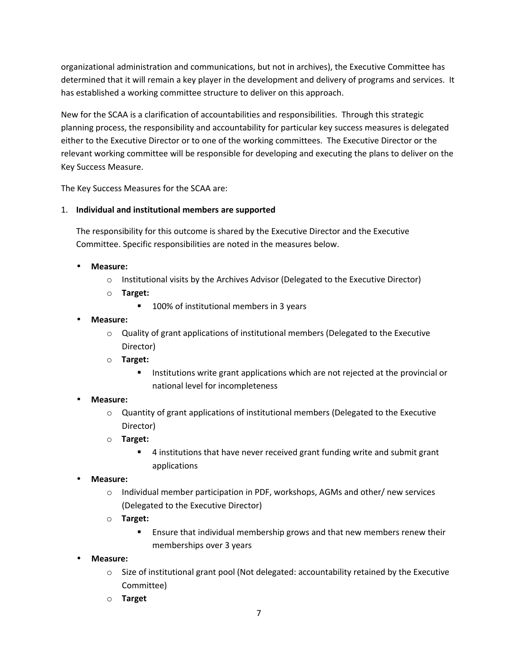organizational administration and communications, but not in archives), the Executive Committee has determined that it will remain a key player in the development and delivery of programs and services. It has established a working committee structure to deliver on this approach.

New for the SCAA is a clarification of accountabilities and responsibilities. Through this strategic planning process, the responsibility and accountability for particular key success measures is delegated either to the Executive Director or to one of the working committees. The Executive Director or the relevant working committee will be responsible for developing and executing the plans to deliver on the Key Success Measure.

The Key Success Measures for the SCAA are:

### 1. **Individual and institutional members are supported**

The responsibility for this outcome is shared by the Executive Director and the Executive Committee. Specific responsibilities are noted in the measures below.

- **Measure:**
	- o Institutional visits by the Archives Advisor (Delegated to the Executive Director)
	- o **Target:**
		- **100% of institutional members in 3 years**
- **Measure:**
	- $\circ$  Quality of grant applications of institutional members (Delegated to the Executive Director)
	- o **Target:**
		- **Institutions write grant applications which are not rejected at the provincial or** national level for incompleteness
- **Measure:**
	- $\circ$  Quantity of grant applications of institutional members (Delegated to the Executive Director)
	- o **Target:**
		- 4 institutions that have never received grant funding write and submit grant applications
- **Measure:**
	- $\circ$  Individual member participation in PDF, workshops, AGMs and other/ new services (Delegated to the Executive Director)
	- o **Target:**
		- Ensure that individual membership grows and that new members renew their memberships over 3 years
- **Measure:**
	- $\circ$  Size of institutional grant pool (Not delegated: accountability retained by the Executive Committee)
	- o **Target**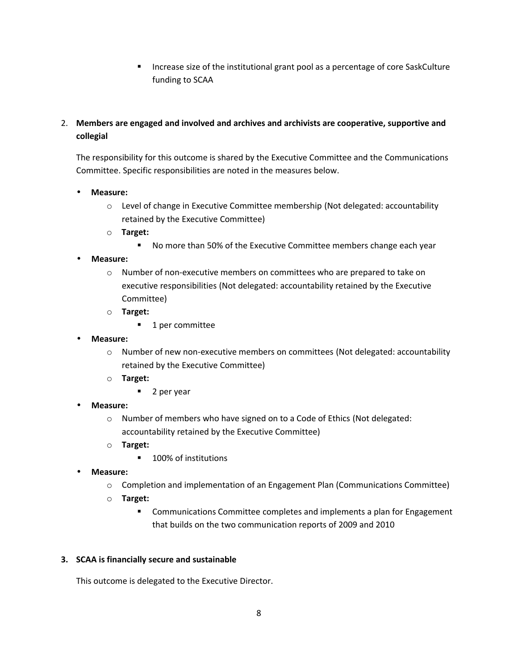- Increase size of the institutional grant pool as a percentage of core SaskCulture funding to SCAA
- 2. **Members are engaged and involved and archives and archivists are cooperative, supportive and collegial**

The responsibility for this outcome is shared by the Executive Committee and the Communications Committee. Specific responsibilities are noted in the measures below.

- **Measure:**
	- o Level of change in Executive Committee membership (Not delegated: accountability retained by the Executive Committee)
	- o **Target:**
		- No more than 50% of the Executive Committee members change each year
- **Measure:**
	- o Number of non-executive members on committees who are prepared to take on executive responsibilities (Not delegated: accountability retained by the Executive Committee)
	- o **Target:**
		- **1** per committee
- **Measure:**
	- o Number of new non-executive members on committees (Not delegated: accountability retained by the Executive Committee)
	- o **Target:**
		- 2 per year
- **Measure:**
	- o Number of members who have signed on to a Code of Ethics (Not delegated: accountability retained by the Executive Committee)
	- o **Target:**
		- 100% of institutions
- **Measure:**
	- o Completion and implementation of an Engagement Plan (Communications Committee)
	- o **Target:**
		- **EXECOMMUNICATIONS COMMITTEE COMPLETES AND IMPLEMENTS A PLAN for Engagement** that builds on the two communication reports of 2009 and 2010

#### **3. SCAA is financially secure and sustainable**

This outcome is delegated to the Executive Director.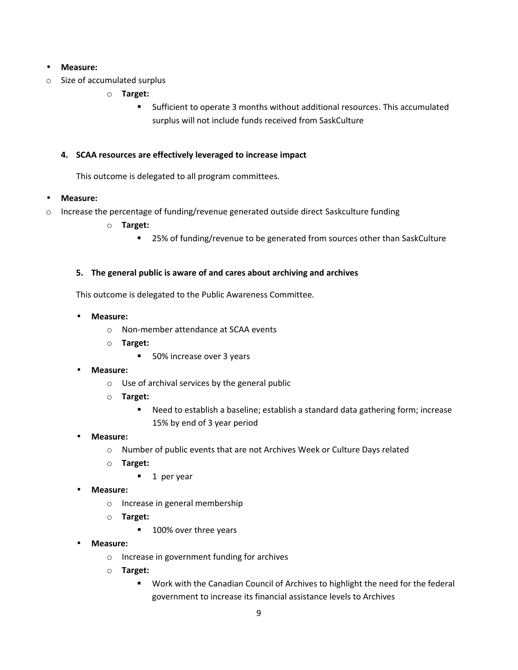#### • **Measure:**

- o Size of accumulated surplus
	- o **Target:**
		- Sufficient to operate 3 months without additional resources. This accumulated surplus will not include funds received from SaskCulture

#### **4. SCAA resources are effectively leveraged to increase impact**

This outcome is delegated to all program committees.

#### • **Measure:**

- $\circ$  Increase the percentage of funding/revenue generated outside direct Saskculture funding
	- o **Target:**
		- 25% of funding/revenue to be generated from sources other than SaskCulture

#### **5. The general public is aware of and cares about archiving and archives**

This outcome is delegated to the Public Awareness Committee.

- **Measure:**
	- o Non-member attendance at SCAA events
	- o **Target:**
		- 50% increase over 3 years
- **Measure:**
	- o Use of archival services by the general public
	- o **Target:**
		- Need to establish a baseline; establish a standard data gathering form; increase 15% by end of 3 year period
- **Measure:**
	- o Number of public events that are not Archives Week or Culture Days related
	- o **Target:**
		- $\blacksquare$  1 per year
- **Measure:**
	- o Increase in general membership
	- o **Target:**
		- 100% over three years
- **Measure:**
	- o Increase in government funding for archives
	- o **Target:**
		- **Work with the Canadian Council of Archives to highlight the need for the federal** government to increase its financial assistance levels to Archives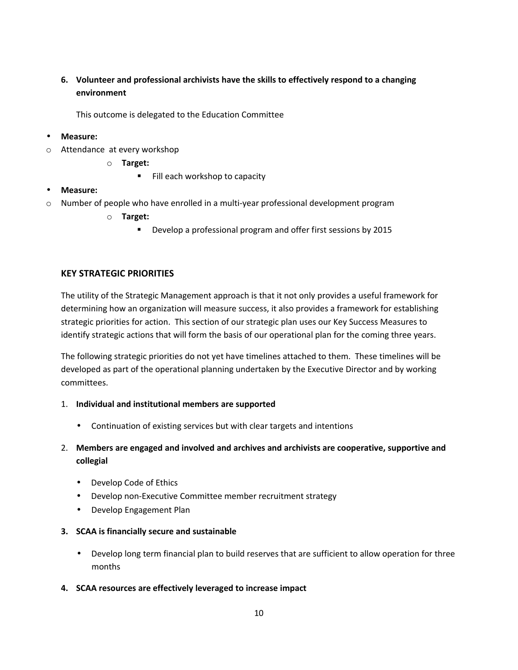## **6. Volunteer and professional archivists have the skills to effectively respond to a changing environment**

This outcome is delegated to the Education Committee

### • **Measure:**

- o Attendance at every workshop
	- o **Target:**
		- Fill each workshop to capacity
- **Measure:**
- o Number of people who have enrolled in a multi-year professional development program
	- o **Target:**
		- **Develop a professional program and offer first sessions by 2015**

### **KEY STRATEGIC PRIORITIES**

The utility of the Strategic Management approach is that it not only provides a useful framework for determining how an organization will measure success, it also provides a framework for establishing strategic priorities for action. This section of our strategic plan uses our Key Success Measures to identify strategic actions that will form the basis of our operational plan for the coming three years.

The following strategic priorities do not yet have timelines attached to them. These timelines will be developed as part of the operational planning undertaken by the Executive Director and by working committees.

#### 1. **Individual and institutional members are supported**

- Continuation of existing services but with clear targets and intentions
- 2. **Members are engaged and involved and archives and archivists are cooperative, supportive and collegial**
	- Develop Code of Ethics
	- Develop non-Executive Committee member recruitment strategy
	- Develop Engagement Plan

#### **3. SCAA is financially secure and sustainable**

- Develop long term financial plan to build reserves that are sufficient to allow operation for three months
- **4. SCAA resources are effectively leveraged to increase impact**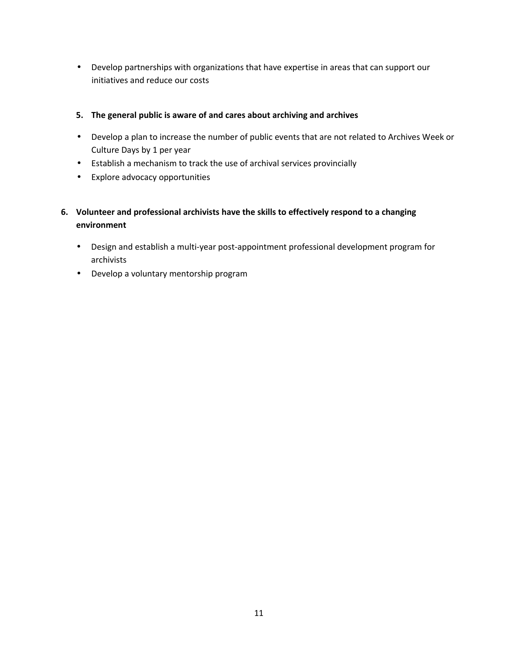• Develop partnerships with organizations that have expertise in areas that can support our initiatives and reduce our costs

## **5. The general public is aware of and cares about archiving and archives**

- Develop a plan to increase the number of public events that are not related to Archives Week or Culture Days by 1 per year
- Establish a mechanism to track the use of archival services provincially
- Explore advocacy opportunities
- **6. Volunteer and professional archivists have the skills to effectively respond to a changing environment** 
	- Design and establish a multi-year post-appointment professional development program for archivists
	- Develop a voluntary mentorship program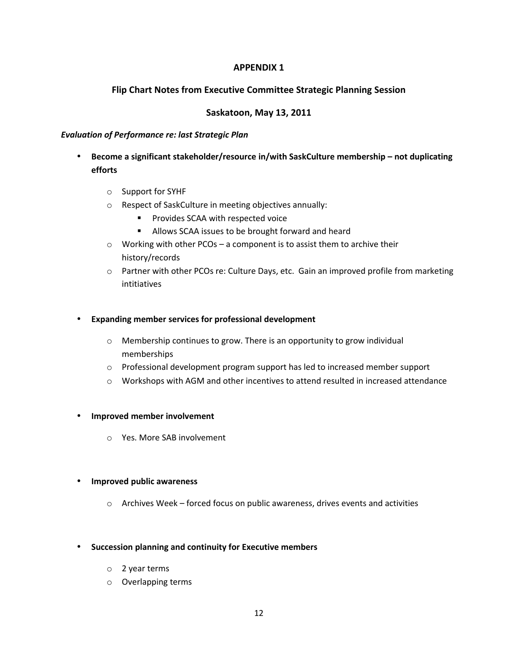### **APPENDIX 1**

## **Flip Chart Notes from Executive Committee Strategic Planning Session**

### **Saskatoon, May 13, 2011**

#### *Evaluation of Performance re: last Strategic Plan*

- **Become a significant stakeholder/resource in/with SaskCulture membership not duplicating efforts**
	- o Support for SYHF
	- o Respect of SaskCulture in meeting objectives annually:
		- **Provides SCAA with respected voice**
		- Allows SCAA issues to be brought forward and heard
	- o Working with other PCOs a component is to assist them to archive their history/records
	- o Partner with other PCOs re: Culture Days, etc. Gain an improved profile from marketing intitiatives

#### • **Expanding member services for professional development**

- o Membership continues to grow. There is an opportunity to grow individual memberships
- o Professional development program support has led to increased member support
- o Workshops with AGM and other incentives to attend resulted in increased attendance

#### • **Improved member involvement**

o Yes. More SAB involvement

#### • **Improved public awareness**

o Archives Week – forced focus on public awareness, drives events and activities

#### • **Succession planning and continuity for Executive members**

- o 2 year terms
- o Overlapping terms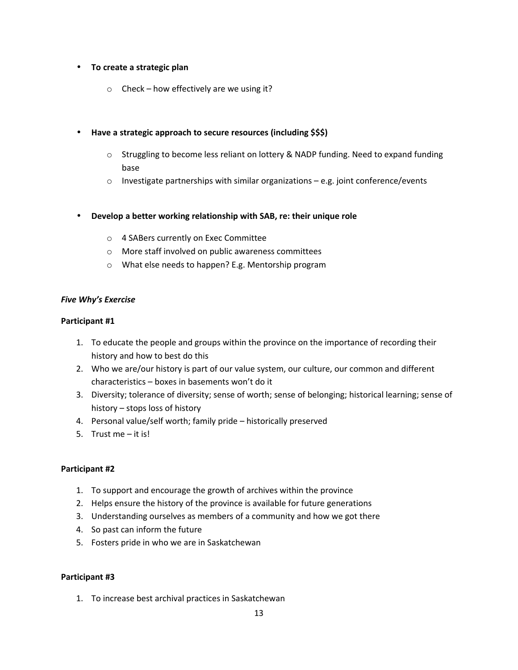#### • **To create a strategic plan**

 $\circ$  Check – how effectively are we using it?

#### • **Have a strategic approach to secure resources (including \$\$\$)**

- o Struggling to become less reliant on lottery & NADP funding. Need to expand funding base
- $\circ$  Investigate partnerships with similar organizations e.g. joint conference/events
- **Develop a better working relationship with SAB, re: their unique role**
	- o 4 SABers currently on Exec Committee
	- o More staff involved on public awareness committees
	- o What else needs to happen? E.g. Mentorship program

#### *Five Why's Exercise*

#### **Participant #1**

- 1. To educate the people and groups within the province on the importance of recording their history and how to best do this
- 2. Who we are/our history is part of our value system, our culture, our common and different characteristics – boxes in basements won't do it
- 3. Diversity; tolerance of diversity; sense of worth; sense of belonging; historical learning; sense of history – stops loss of history
- 4. Personal value/self worth; family pride historically preserved
- 5. Trust me it is!

#### **Participant #2**

- 1. To support and encourage the growth of archives within the province
- 2. Helps ensure the history of the province is available for future generations
- 3. Understanding ourselves as members of a community and how we got there
- 4. So past can inform the future
- 5. Fosters pride in who we are in Saskatchewan

#### **Participant #3**

1. To increase best archival practices in Saskatchewan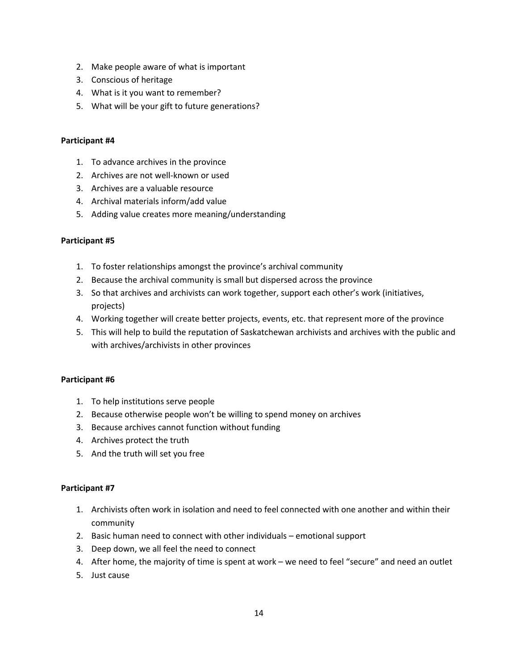- 2. Make people aware of what is important
- 3. Conscious of heritage
- 4. What is it you want to remember?
- 5. What will be your gift to future generations?

#### **Participant #4**

- 1. To advance archives in the province
- 2. Archives are not well-known or used
- 3. Archives are a valuable resource
- 4. Archival materials inform/add value
- 5. Adding value creates more meaning/understanding

#### **Participant #5**

- 1. To foster relationships amongst the province's archival community
- 2. Because the archival community is small but dispersed across the province
- 3. So that archives and archivists can work together, support each other's work (initiatives, projects)
- 4. Working together will create better projects, events, etc. that represent more of the province
- 5. This will help to build the reputation of Saskatchewan archivists and archives with the public and with archives/archivists in other provinces

#### **Participant #6**

- 1. To help institutions serve people
- 2. Because otherwise people won't be willing to spend money on archives
- 3. Because archives cannot function without funding
- 4. Archives protect the truth
- 5. And the truth will set you free

#### **Participant #7**

- 1. Archivists often work in isolation and need to feel connected with one another and within their community
- 2. Basic human need to connect with other individuals emotional support
- 3. Deep down, we all feel the need to connect
- 4. After home, the majority of time is spent at work we need to feel "secure" and need an outlet
- 5. Just cause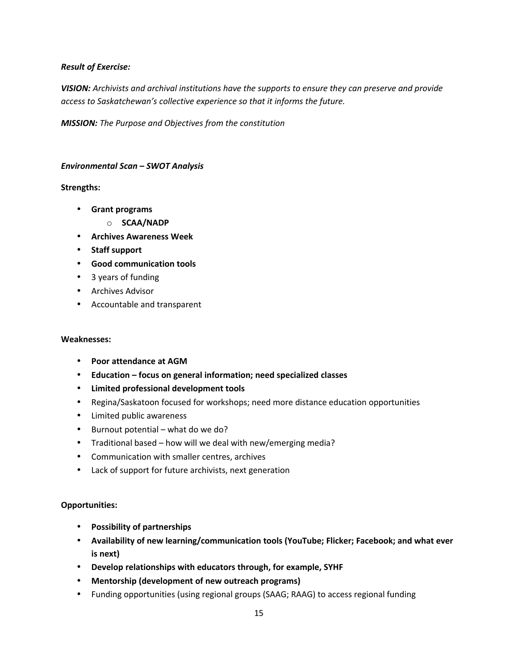#### *Result of Exercise:*

*VISION: Archivists and archival institutions have the supports to ensure they can preserve and provide access to Saskatchewan's collective experience so that it informs the future.*

*MISSION: The Purpose and Objectives from the constitution*

#### *Environmental Scan – SWOT Analysis*

#### **Strengths:**

- **Grant programs**
	- o **SCAA/NADP**
- **Archives Awareness Week**
- **Staff support**
- **Good communication tools**
- 3 years of funding
- Archives Advisor
- Accountable and transparent

#### **Weaknesses:**

- **Poor attendance at AGM**
- **Education focus on general information; need specialized classes**
- **Limited professional development tools**
- Regina/Saskatoon focused for workshops; need more distance education opportunities
- Limited public awareness
- Burnout potential what do we do?
- Traditional based how will we deal with new/emerging media?
- Communication with smaller centres, archives
- Lack of support for future archivists, next generation

#### **Opportunities:**

- **Possibility of partnerships**
- **Availability of new learning/communication tools (YouTube; Flicker; Facebook; and what ever is next)**
- **Develop relationships with educators through, for example, SYHF**
- **Mentorship (development of new outreach programs)**
- Funding opportunities (using regional groups (SAAG; RAAG) to access regional funding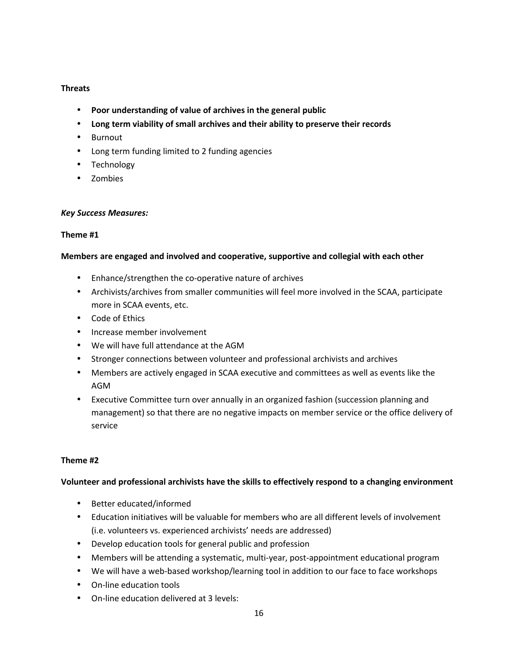#### **Threats**

- **Poor understanding of value of archives in the general public**
- **Long term viability of small archives and their ability to preserve their records**
- Burnout
- Long term funding limited to 2 funding agencies
- Technology
- Zombies

#### *Key Success Measures:*

### **Theme #1**

### **Members are engaged and involved and cooperative, supportive and collegial with each other**

- Enhance/strengthen the co-operative nature of archives
- Archivists/archives from smaller communities will feel more involved in the SCAA, participate more in SCAA events, etc.
- Code of Ethics
- Increase member involvement
- We will have full attendance at the AGM
- Stronger connections between volunteer and professional archivists and archives
- Members are actively engaged in SCAA executive and committees as well as events like the AGM
- Executive Committee turn over annually in an organized fashion (succession planning and management) so that there are no negative impacts on member service or the office delivery of service

#### **Theme #2**

## **Volunteer and professional archivists have the skills to effectively respond to a changing environment**

- Better educated/informed
- Education initiatives will be valuable for members who are all different levels of involvement (i.e. volunteers vs. experienced archivists' needs are addressed)
- Develop education tools for general public and profession
- Members will be attending a systematic, multi-year, post-appointment educational program
- We will have a web-based workshop/learning tool in addition to our face to face workshops
- On-line education tools
- On-line education delivered at 3 levels: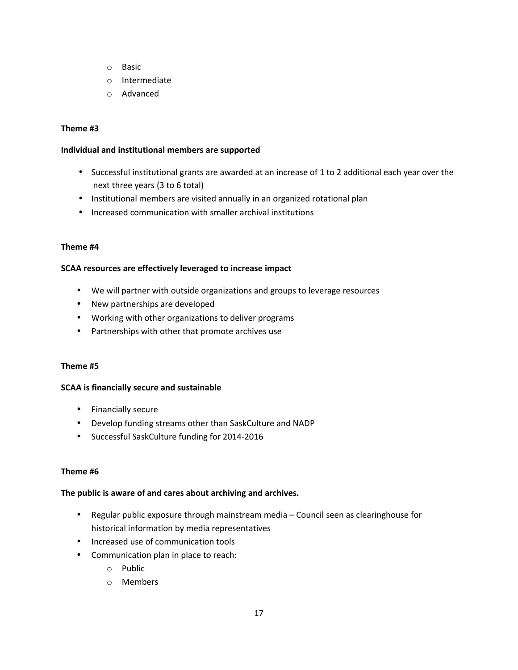- o Basic
- o Intermediate
- o Advanced

#### **Theme #3**

#### **Individual and institutional members are supported**

- Successful institutional grants are awarded at an increase of 1 to 2 additional each year over the next three years (3 to 6 total)
- Institutional members are visited annually in an organized rotational plan
- Increased communication with smaller archival institutions

#### **Theme #4**

#### **SCAA resources are effectively leveraged to increase impact**

- We will partner with outside organizations and groups to leverage resources
- New partnerships are developed
- Working with other organizations to deliver programs
- Partnerships with other that promote archives use

#### **Theme #5**

#### **SCAA is financially secure and sustainable**

- Financially secure
- Develop funding streams other than SaskCulture and NADP
- Successful SaskCulture funding for 2014-2016

#### **Theme #6**

#### **The public is aware of and cares about archiving and archives.**

- Regular public exposure through mainstream media Council seen as clearinghouse for historical information by media representatives
- Increased use of communication tools
- Communication plan in place to reach:
	- o Public
	- o Members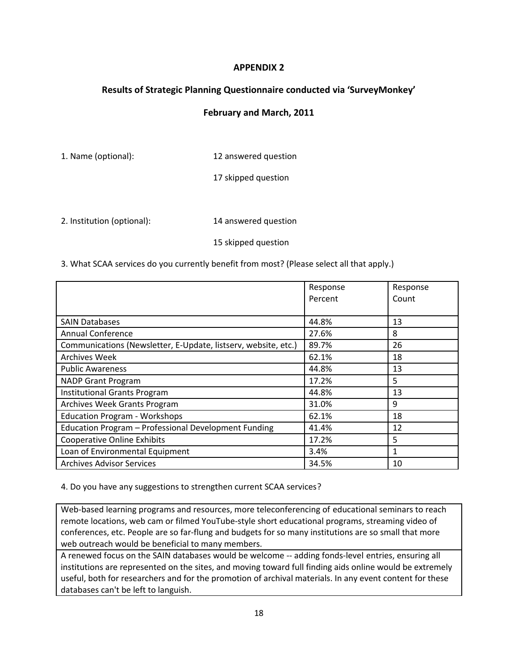## **APPENDIX 2**

## **Results of Strategic Planning Questionnaire conducted via 'SurveyMonkey'**

### **February and March, 2011**

1. Name (optional): 12 answered question

17 skipped question

2. Institution (optional): 14 answered question

15 skipped question

3. What SCAA services do you currently benefit from most? (Please select all that apply.)

|                                                                | Response | Response |
|----------------------------------------------------------------|----------|----------|
|                                                                | Percent  | Count    |
|                                                                |          |          |
| <b>SAIN Databases</b>                                          | 44.8%    | 13       |
| Annual Conference                                              | 27.6%    | 8        |
| Communications (Newsletter, E-Update, listserv, website, etc.) | 89.7%    | 26       |
| <b>Archives Week</b>                                           | 62.1%    | 18       |
| <b>Public Awareness</b>                                        | 44.8%    | 13       |
| <b>NADP Grant Program</b>                                      | 17.2%    | 5        |
| <b>Institutional Grants Program</b>                            | 44.8%    | 13       |
| <b>Archives Week Grants Program</b>                            | 31.0%    | 9        |
| <b>Education Program - Workshops</b>                           | 62.1%    | 18       |
| Education Program - Professional Development Funding           | 41.4%    | 12       |
| <b>Cooperative Online Exhibits</b>                             | 17.2%    | 5        |
| Loan of Environmental Equipment                                | 3.4%     |          |
| <b>Archives Advisor Services</b>                               | 34.5%    | 10       |

4. Do you have any suggestions to strengthen current SCAA services?

Web-based learning programs and resources, more teleconferencing of educational seminars to reach remote locations, web cam or filmed YouTube-style short educational programs, streaming video of conferences, etc. People are so far-flung and budgets for so many institutions are so small that more web outreach would be beneficial to many members.

A renewed focus on the SAIN databases would be welcome -- adding fonds-level entries, ensuring all institutions are represented on the sites, and moving toward full finding aids online would be extremely useful, both for researchers and for the promotion of archival materials. In any event content for these databases can't be left to languish.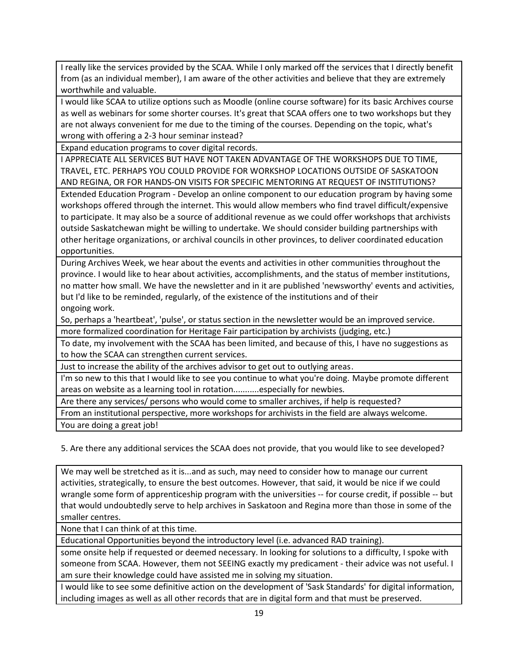I really like the services provided by the SCAA. While I only marked off the services that I directly benefit from (as an individual member), I am aware of the other activities and believe that they are extremely worthwhile and valuable.

I would like SCAA to utilize options such as Moodle (online course software) for its basic Archives course as well as webinars for some shorter courses. It's great that SCAA offers one to two workshops but they are not always convenient for me due to the timing of the courses. Depending on the topic, what's wrong with offering a 2-3 hour seminar instead?

Expand education programs to cover digital records.

I APPRECIATE ALL SERVICES BUT HAVE NOT TAKEN ADVANTAGE OF THE WORKSHOPS DUE TO TIME, TRAVEL, ETC. PERHAPS YOU COULD PROVIDE FOR WORKSHOP LOCATIONS OUTSIDE OF SASKATOON AND REGINA, OR FOR HANDS-ON VISITS FOR SPECIFIC MENTORING AT REQUEST OF INSTITUTIONS?

Extended Education Program - Develop an online component to our education program by having some workshops offered through the internet. This would allow members who find travel difficult/expensive to participate. It may also be a source of additional revenue as we could offer workshops that archivists outside Saskatchewan might be willing to undertake. We should consider building partnerships with other heritage organizations, or archival councils in other provinces, to deliver coordinated education opportunities.

During Archives Week, we hear about the events and activities in other communities throughout the province. I would like to hear about activities, accomplishments, and the status of member institutions, no matter how small. We have the newsletter and in it are published 'newsworthy' events and activities, but I'd like to be reminded, regularly, of the existence of the institutions and of their ongoing work.

So, perhaps a 'heartbeat', 'pulse', or status section in the newsletter would be an improved service. more formalized coordination for Heritage Fair participation by archivists (judging, etc.)

To date, my involvement with the SCAA has been limited, and because of this, I have no suggestions as to how the SCAA can strengthen current services.

Just to increase the ability of the archives advisor to get out to outlying areas.

I'm so new to this that I would like to see you continue to what you're doing. Maybe promote different areas on website as a learning tool in rotation...........especially for newbies.

Are there any services/ persons who would come to smaller archives, if help is requested?

From an institutional perspective, more workshops for archivists in the field are always welcome.

You are doing a great job!

5. Are there any additional services the SCAA does not provide, that you would like to see developed?

We may well be stretched as it is...and as such, may need to consider how to manage our current activities, strategically, to ensure the best outcomes. However, that said, it would be nice if we could wrangle some form of apprenticeship program with the universities -- for course credit, if possible -- but that would undoubtedly serve to help archives in Saskatoon and Regina more than those in some of the smaller centres.

None that I can think of at this time.

Educational Opportunities beyond the introductory level (i.e. advanced RAD training).

some onsite help if requested or deemed necessary. In looking for solutions to a difficulty, I spoke with someone from SCAA. However, them not SEEING exactly my predicament - their advice was not useful. I am sure their knowledge could have assisted me in solving my situation.

I would like to see some definitive action on the development of 'Sask Standards' for digital information, including images as well as all other records that are in digital form and that must be preserved.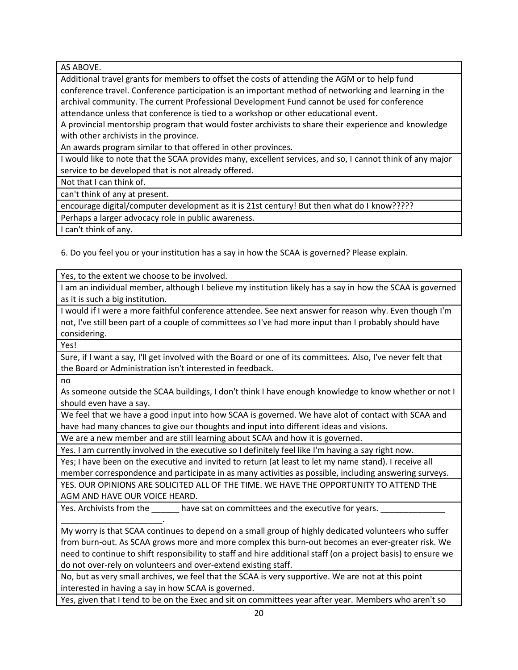AS ABOVE.

Additional travel grants for members to offset the costs of attending the AGM or to help fund conference travel. Conference participation is an important method of networking and learning in the archival community. The current Professional Development Fund cannot be used for conference attendance unless that conference is tied to a workshop or other educational event.

A provincial mentorship program that would foster archivists to share their experience and knowledge with other archivists in the province.

An awards program similar to that offered in other provinces.

I would like to note that the SCAA provides many, excellent services, and so, I cannot think of any major service to be developed that is not already offered.

Not that I can think of.

can't think of any at present.

\_\_\_\_\_\_\_\_\_\_\_\_\_\_\_\_\_\_\_\_\_\_.

encourage digital/computer development as it is 21st century! But then what do I know?????

Perhaps a larger advocacy role in public awareness.

I can't think of any.

6. Do you feel you or your institution has a say in how the SCAA is governed? Please explain.

Yes, to the extent we choose to be involved.

I am an individual member, although I believe my institution likely has a say in how the SCAA is governed as it is such a big institution.

I would if I were a more faithful conference attendee. See next answer for reason why. Even though I'm not, I've still been part of a couple of committees so I've had more input than I probably should have considering.

Yes!

Sure, if I want a say, I'll get involved with the Board or one of its committees. Also, I've never felt that the Board or Administration isn't interested in feedback.

no

As someone outside the SCAA buildings, I don't think I have enough knowledge to know whether or not I should even have a say.

We feel that we have a good input into how SCAA is governed. We have alot of contact with SCAA and have had many chances to give our thoughts and input into different ideas and visions.

We are a new member and are still learning about SCAA and how it is governed.

Yes. I am currently involved in the executive so I definitely feel like I'm having a say right now.

Yes; I have been on the executive and invited to return (at least to let my name stand). I receive all member correspondence and participate in as many activities as possible, including answering surveys.

YES. OUR OPINIONS ARE SOLICITED ALL OF THE TIME. WE HAVE THE OPPORTUNITY TO ATTEND THE AGM AND HAVE OUR VOICE HEARD.

Yes. Archivists from the have sat on committees and the executive for years.

My worry is that SCAA continues to depend on a small group of highly dedicated volunteers who suffer from burn-out. As SCAA grows more and more complex this burn-out becomes an ever-greater risk. We need to continue to shift responsibility to staff and hire additional staff (on a project basis) to ensure we do not over-rely on volunteers and over-extend existing staff.

No, but as very small archives, we feel that the SCAA is very supportive. We are not at this point interested in having a say in how SCAA is governed.

Yes, given that I tend to be on the Exec and sit on committees year after year. Members who aren't so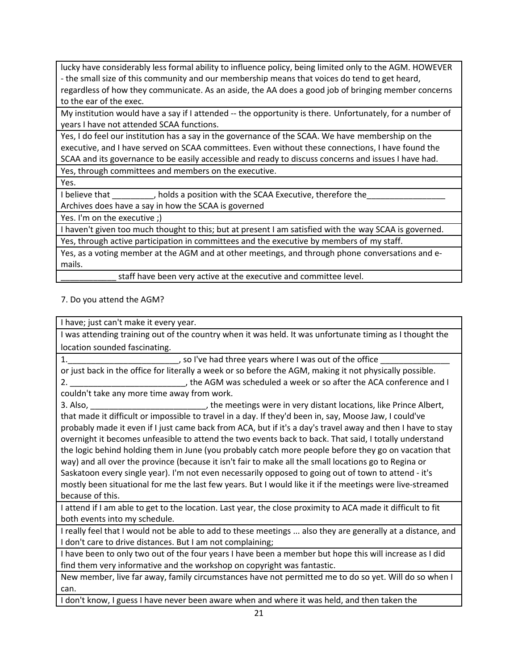lucky have considerably less formal ability to influence policy, being limited only to the AGM. HOWEVER - the small size of this community and our membership means that voices do tend to get heard,

regardless of how they communicate. As an aside, the AA does a good job of bringing member concerns to the ear of the exec.

My institution would have a say if I attended -- the opportunity is there. Unfortunately, for a number of years I have not attended SCAA functions.

Yes, I do feel our institution has a say in the governance of the SCAA. We have membership on the executive, and I have served on SCAA committees. Even without these connections, I have found the SCAA and its governance to be easily accessible and ready to discuss concerns and issues I have had.

Yes, through committees and members on the executive.

Yes.

I believe that  $\qquad \qquad$ , holds a position with the SCAA Executive, therefore the Archives does have a say in how the SCAA is governed

Yes. I'm on the executive ;)

I haven't given too much thought to this; but at present I am satisfied with the way SCAA is governed. Yes, through active participation in committees and the executive by members of my staff.

Yes, as a voting member at the AGM and at other meetings, and through phone conversations and emails.

staff have been very active at the executive and committee level.

7. Do you attend the AGM?

I have; just can't make it every year.

I was attending training out of the country when it was held. It was unfortunate timing as I thought the location sounded fascinating.

1. The so I've had three years where I was out of the office  $\overline{a}$ 

or just back in the office for literally a week or so before the AGM, making it not physically possible. 2. \_\_\_\_\_\_\_\_\_\_\_\_\_\_\_\_\_\_\_\_\_\_\_\_\_\_\_\_\_\_\_, the AGM was scheduled a week or so after the ACA conference and I couldn't take any more time away from work.

3. Also, \_\_\_\_\_\_\_\_\_\_\_\_\_\_\_\_\_\_\_\_\_\_\_\_\_, the meetings were in very distant locations, like Prince Albert, that made it difficult or impossible to travel in a day. If they'd been in, say, Moose Jaw, I could've probably made it even if I just came back from ACA, but if it's a day's travel away and then I have to stay overnight it becomes unfeasible to attend the two events back to back. That said, I totally understand the logic behind holding them in June (you probably catch more people before they go on vacation that way) and all over the province (because it isn't fair to make all the small locations go to Regina or Saskatoon every single year). I'm not even necessarily opposed to going out of town to attend - it's mostly been situational for me the last few years. But I would like it if the meetings were live-streamed because of this.

I attend if I am able to get to the location. Last year, the close proximity to ACA made it difficult to fit both events into my schedule.

I really feel that I would not be able to add to these meetings ... also they are generally at a distance, and I don't care to drive distances. But I am not complaining;

I have been to only two out of the four years I have been a member but hope this will increase as I did find them very informative and the workshop on copyright was fantastic.

New member, live far away, family circumstances have not permitted me to do so yet. Will do so when I can.

I don't know, I guess I have never been aware when and where it was held, and then taken the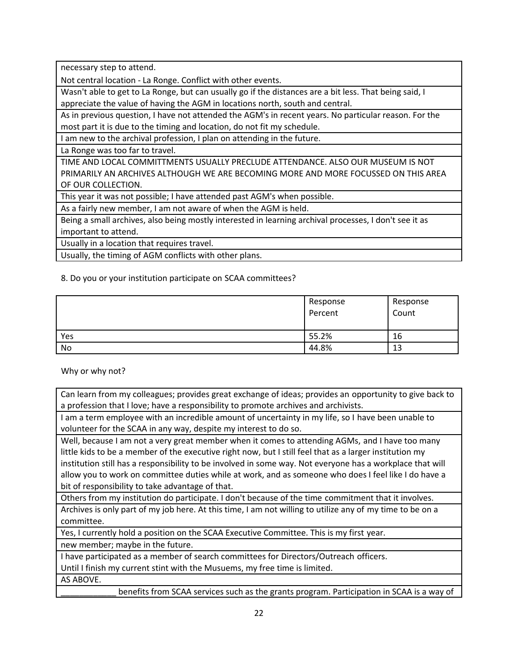necessary step to attend.

Not central location - La Ronge. Conflict with other events.

Wasn't able to get to La Ronge, but can usually go if the distances are a bit less. That being said, I appreciate the value of having the AGM in locations north, south and central.

As in previous question, I have not attended the AGM's in recent years. No particular reason. For the most part it is due to the timing and location, do not fit my schedule.

I am new to the archival profession, I plan on attending in the future.

La Ronge was too far to travel.

TIME AND LOCAL COMMITTMENTS USUALLY PRECLUDE ATTENDANCE. ALSO OUR MUSEUM IS NOT PRIMARILY AN ARCHIVES ALTHOUGH WE ARE BECOMING MORE AND MORE FOCUSSED ON THIS AREA OF OUR COLLECTION.

This year it was not possible; I have attended past AGM's when possible.

As a fairly new member, I am not aware of when the AGM is held.

Being a small archives, also being mostly interested in learning archival processes, I don't see it as important to attend.

Usually in a location that requires travel.

Usually, the timing of AGM conflicts with other plans.

8. Do you or your institution participate on SCAA committees?

|     | Response<br>Percent | Response<br>Count |
|-----|---------------------|-------------------|
| Yes | 55.2%               | 16                |
| No  | 44.8%               | 13                |

Why or why not?

Can learn from my colleagues; provides great exchange of ideas; provides an opportunity to give back to a profession that I love; have a responsibility to promote archives and archivists.

I am a term employee with an incredible amount of uncertainty in my life, so I have been unable to volunteer for the SCAA in any way, despite my interest to do so.

Well, because I am not a very great member when it comes to attending AGMs, and I have too many little kids to be a member of the executive right now, but I still feel that as a larger institution my institution still has a responsibility to be involved in some way. Not everyone has a workplace that will allow you to work on committee duties while at work, and as someone who does I feel like I do have a bit of responsibility to take advantage of that.

Others from my institution do participate. I don't because of the time commitment that it involves. Archives is only part of my job here. At this time, I am not willing to utilize any of my time to be on a committee.

Yes, I currently hold a position on the SCAA Executive Committee. This is my first year.

new member; maybe in the future.

I have participated as a member of search committees for Directors/Outreach officers.

Until I finish my current stint with the Musuems, my free time is limited.

AS ABOVE.

benefits from SCAA services such as the grants program. Participation in SCAA is a way of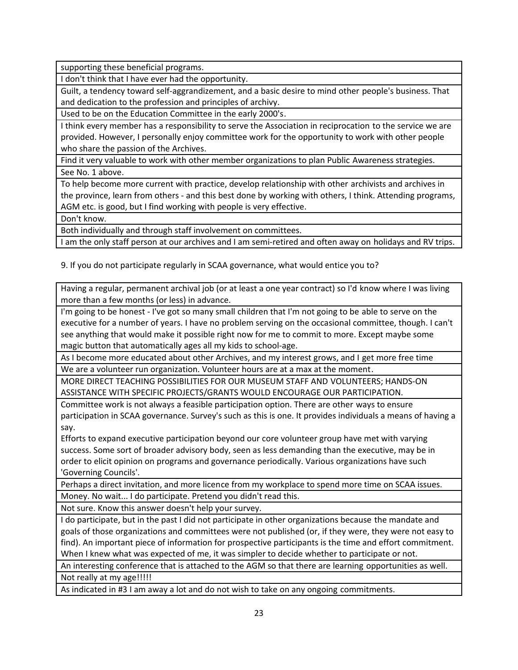supporting these beneficial programs.

I don't think that I have ever had the opportunity.

Guilt, a tendency toward self-aggrandizement, and a basic desire to mind other people's business. That and dedication to the profession and principles of archivy.

Used to be on the Education Committee in the early 2000's.

I think every member has a responsibility to serve the Association in reciprocation to the service we are provided. However, I personally enjoy committee work for the opportunity to work with other people who share the passion of the Archives.

Find it very valuable to work with other member organizations to plan Public Awareness strategies. See No. 1 above.

To help become more current with practice, develop relationship with other archivists and archives in the province, learn from others - and this best done by working with others, I think. Attending programs, AGM etc. is good, but I find working with people is very effective.

Don't know.

Both individually and through staff involvement on committees.

I am the only staff person at our archives and I am semi-retired and often away on holidays and RV trips.

9. If you do not participate regularly in SCAA governance, what would entice you to?

Having a regular, permanent archival job (or at least a one year contract) so I'd know where I was living more than a few months (or less) in advance.

I'm going to be honest - I've got so many small children that I'm not going to be able to serve on the executive for a number of years. I have no problem serving on the occasional committee, though. I can't see anything that would make it possible right now for me to commit to more. Except maybe some magic button that automatically ages all my kids to school-age.

As I become more educated about other Archives, and my interest grows, and I get more free time We are a volunteer run organization. Volunteer hours are at a max at the moment.

MORE DIRECT TEACHING POSSIBILITIES FOR OUR MUSEUM STAFF AND VOLUNTEERS; HANDS-ON ASSISTANCE WITH SPECIFIC PROJECTS/GRANTS WOULD ENCOURAGE OUR PARTICIPATION.

Committee work is not always a feasible participation option. There are other ways to ensure participation in SCAA governance. Survey's such as this is one. It provides individuals a means of having a say.

Efforts to expand executive participation beyond our core volunteer group have met with varying success. Some sort of broader advisory body, seen as less demanding than the executive, may be in order to elicit opinion on programs and governance periodically. Various organizations have such 'Governing Councils'.

Perhaps a direct invitation, and more licence from my workplace to spend more time on SCAA issues. Money. No wait... I do participate. Pretend you didn't read this.

Not sure. Know this answer doesn't help your survey.

I do participate, but in the past I did not participate in other organizations because the mandate and goals of those organizations and committees were not published (or, if they were, they were not easy to find). An important piece of information for prospective participants is the time and effort commitment. When I knew what was expected of me, it was simpler to decide whether to participate or not.

An interesting conference that is attached to the AGM so that there are learning opportunities as well. Not really at my age!!!!!

As indicated in #3 I am away a lot and do not wish to take on any ongoing commitments.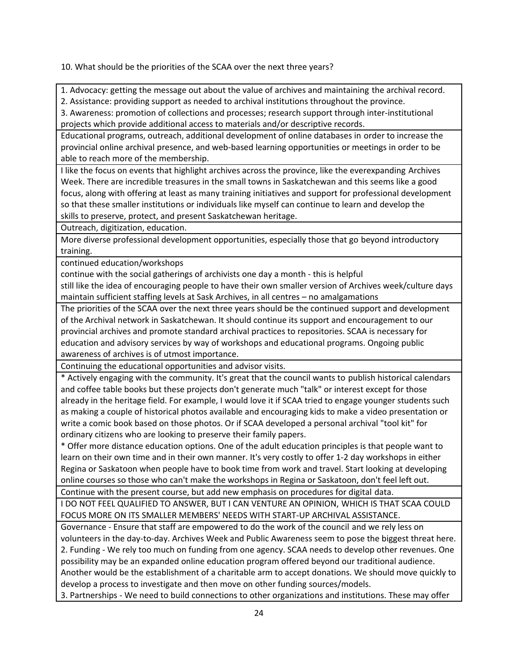10. What should be the priorities of the SCAA over the next three years?

1. Advocacy: getting the message out about the value of archives and maintaining the archival record.

2. Assistance: providing support as needed to archival institutions throughout the province.

3. Awareness: promotion of collections and processes; research support through inter-institutional projects which provide additional access to materials and/or descriptive records.

Educational programs, outreach, additional development of online databases in order to increase the provincial online archival presence, and web-based learning opportunities or meetings in order to be able to reach more of the membership.

I like the focus on events that highlight archives across the province, like the everexpanding Archives Week. There are incredible treasures in the small towns in Saskatchewan and this seems like a good focus, along with offering at least as many training initiatives and support for professional development so that these smaller institutions or individuals like myself can continue to learn and develop the skills to preserve, protect, and present Saskatchewan heritage.

Outreach, digitization, education.

More diverse professional development opportunities, especially those that go beyond introductory training.

continued education/workshops

continue with the social gatherings of archivists one day a month - this is helpful

still like the idea of encouraging people to have their own smaller version of Archives week/culture days maintain sufficient staffing levels at Sask Archives, in all centres – no amalgamations

The priorities of the SCAA over the next three years should be the continued support and development of the Archival network in Saskatchewan. It should continue its support and encouragement to our provincial archives and promote standard archival practices to repositories. SCAA is necessary for education and advisory services by way of workshops and educational programs. Ongoing public awareness of archives is of utmost importance.

Continuing the educational opportunities and advisor visits.

\* Actively engaging with the community. It's great that the council wants to publish historical calendars and coffee table books but these projects don't generate much "talk" or interest except for those already in the heritage field. For example, I would love it if SCAA tried to engage younger students such as making a couple of historical photos available and encouraging kids to make a video presentation or write a comic book based on those photos. Or if SCAA developed a personal archival "tool kit" for ordinary citizens who are looking to preserve their family papers.

\* Offer more distance education options. One of the adult education principles is that people want to learn on their own time and in their own manner. It's very costly to offer 1-2 day workshops in either Regina or Saskatoon when people have to book time from work and travel. Start looking at developing online courses so those who can't make the workshops in Regina or Saskatoon, don't feel left out.

Continue with the present course, but add new emphasis on procedures for digital data.

I DO NOT FEEL QUALIFIED TO ANSWER, BUT I CAN VENTURE AN OPINION, WHICH IS THAT SCAA COULD FOCUS MORE ON ITS SMALLER MEMBERS' NEEDS WITH START-UP ARCHIVAL ASSISTANCE.

Governance - Ensure that staff are empowered to do the work of the council and we rely less on volunteers in the day-to-day. Archives Week and Public Awareness seem to pose the biggest threat here. 2. Funding - We rely too much on funding from one agency. SCAA needs to develop other revenues. One possibility may be an expanded online education program offered beyond our traditional audience. Another would be the establishment of a charitable arm to accept donations. We should move quickly to develop a process to investigate and then move on other funding sources/models.

3. Partnerships - We need to build connections to other organizations and institutions. These may offer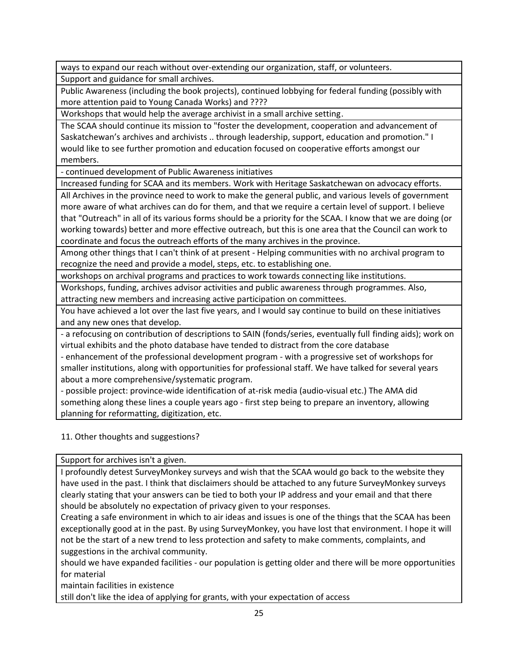ways to expand our reach without over-extending our organization, staff, or volunteers. Support and guidance for small archives.

Public Awareness (including the book projects), continued lobbying for federal funding (possibly with more attention paid to Young Canada Works) and ????

Workshops that would help the average archivist in a small archive setting.

The SCAA should continue its mission to "foster the development, cooperation and advancement of Saskatchewan's archives and archivists .. through leadership, support, education and promotion." I would like to see further promotion and education focused on cooperative efforts amongst our members.

- continued development of Public Awareness initiatives

Increased funding for SCAA and its members. Work with Heritage Saskatchewan on advocacy efforts.

All Archives in the province need to work to make the general public, and various levels of government more aware of what archives can do for them, and that we require a certain level of support. I believe that "Outreach" in all of its various forms should be a priority for the SCAA. I know that we are doing (or working towards) better and more effective outreach, but this is one area that the Council can work to coordinate and focus the outreach efforts of the many archives in the province.

Among other things that I can't think of at present - Helping communities with no archival program to recognize the need and provide a model, steps, etc. to establishing one.

workshops on archival programs and practices to work towards connecting like institutions.

Workshops, funding, archives advisor activities and public awareness through programmes. Also, attracting new members and increasing active participation on committees.

You have achieved a lot over the last five years, and I would say continue to build on these initiatives and any new ones that develop.

- a refocusing on contribution of descriptions to SAIN (fonds/series, eventually full finding aids); work on virtual exhibits and the photo database have tended to distract from the core database

- enhancement of the professional development program - with a progressive set of workshops for smaller institutions, along with opportunities for professional staff. We have talked for several years about a more comprehensive/systematic program.

- possible project: province-wide identification of at-risk media (audio-visual etc.) The AMA did something along these lines a couple years ago - first step being to prepare an inventory, allowing planning for reformatting, digitization, etc.

11. Other thoughts and suggestions?

Support for archives isn't a given.

I profoundly detest SurveyMonkey surveys and wish that the SCAA would go back to the website they have used in the past. I think that disclaimers should be attached to any future SurveyMonkey surveys clearly stating that your answers can be tied to both your IP address and your email and that there should be absolutely no expectation of privacy given to your responses.

Creating a safe environment in which to air ideas and issues is one of the things that the SCAA has been exceptionally good at in the past. By using SurveyMonkey, you have lost that environment. I hope it will not be the start of a new trend to less protection and safety to make comments, complaints, and suggestions in the archival community.

should we have expanded facilities - our population is getting older and there will be more opportunities for material

maintain facilities in existence

still don't like the idea of applying for grants, with your expectation of access